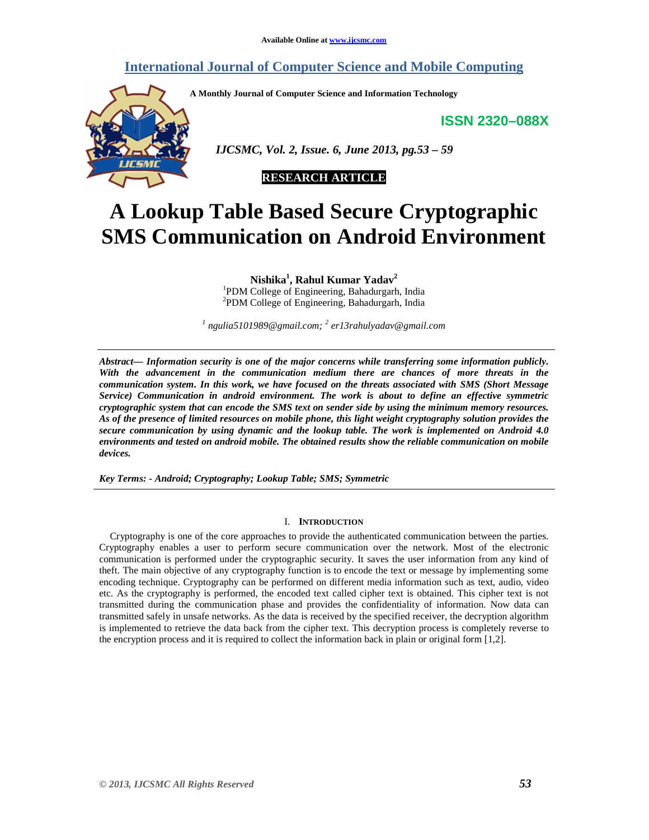# **International Journal of Computer Science and Mobile Computing**

**A Monthly Journal of Computer Science and Information Technology** 

**ISSN 2320–088X**



 *IJCSMC, Vol. 2, Issue. 6, June 2013, pg.53 – 59* 

# **RESEARCH ARTICLE**

# **A Lookup Table Based Secure Cryptographic SMS Communication on Android Environment**

**Nishika<sup>1</sup> , Rahul Kumar Yadav<sup>2</sup>** 1 PDM College of Engineering, Bahadurgarh, India 2 PDM College of Engineering, Bahadurgarh, India

*1 ngulia5101989@gmail.com; <sup>2</sup> er13rahulyadav@gmail.com* 

*Abstract— Information security is one of the major concerns while transferring some information publicly. With the advancement in the communication medium there are chances of more threats in the communication system. In this work, we have focused on the threats associated with SMS (Short Message Service) Communication in android environment. The work is about to define an effective symmetric cryptographic system that can encode the SMS text on sender side by using the minimum memory resources. As of the presence of limited resources on mobile phone, this light weight cryptography solution provides the secure communication by using dynamic and the lookup table. The work is implemented on Android 4.0 environments and tested on android mobile. The obtained results show the reliable communication on mobile devices.* 

*Key Terms: - Android; Cryptography; Lookup Table; SMS; Symmetric* 

#### I. **INTRODUCTION**

Cryptography is one of the core approaches to provide the authenticated communication between the parties. Cryptography enables a user to perform secure communication over the network. Most of the electronic communication is performed under the cryptographic security. It saves the user information from any kind of theft. The main objective of any cryptography function is to encode the text or message by implementing some encoding technique. Cryptography can be performed on different media information such as text, audio, video etc. As the cryptography is performed, the encoded text called cipher text is obtained. This cipher text is not transmitted during the communication phase and provides the confidentiality of information. Now data can transmitted safely in unsafe networks. As the data is received by the specified receiver, the decryption algorithm is implemented to retrieve the data back from the cipher text. This decryption process is completely reverse to the encryption process and it is required to collect the information back in plain or original form [1,2].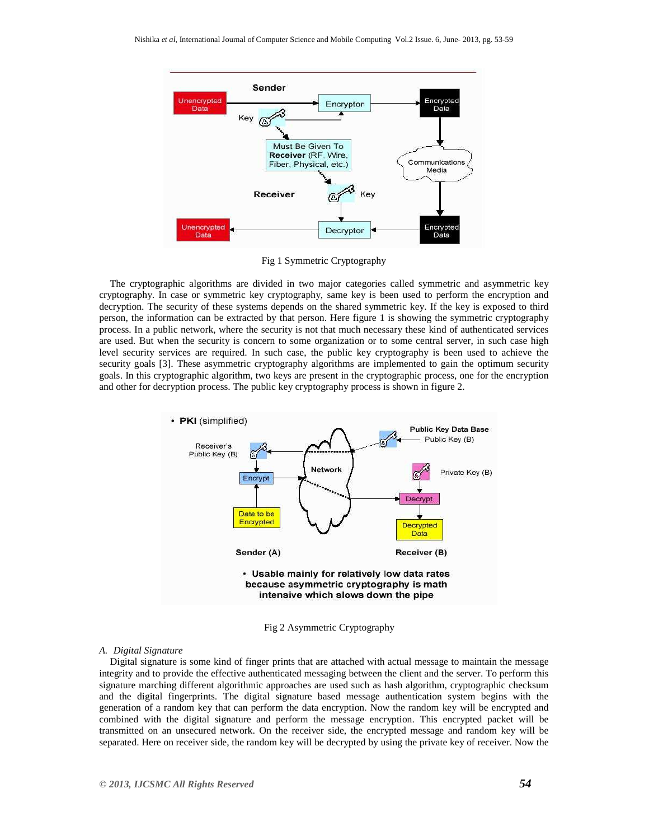

Fig 1 Symmetric Cryptography

The cryptographic algorithms are divided in two major categories called symmetric and asymmetric key cryptography. In case or symmetric key cryptography, same key is been used to perform the encryption and decryption. The security of these systems depends on the shared symmetric key. If the key is exposed to third person, the information can be extracted by that person. Here figure 1 is showing the symmetric cryptography process. In a public network, where the security is not that much necessary these kind of authenticated services are used. But when the security is concern to some organization or to some central server, in such case high level security services are required. In such case, the public key cryptography is been used to achieve the security goals [3]. These asymmetric cryptography algorithms are implemented to gain the optimum security goals. In this cryptographic algorithm, two keys are present in the cryptographic process, one for the encryption and other for decryption process. The public key cryptography process is shown in figure 2.



Fig 2 Asymmetric Cryptography

## *A. Digital Signature*

Digital signature is some kind of finger prints that are attached with actual message to maintain the message integrity and to provide the effective authenticated messaging between the client and the server. To perform this signature marching different algorithmic approaches are used such as hash algorithm, cryptographic checksum and the digital fingerprints. The digital signature based message authentication system begins with the generation of a random key that can perform the data encryption. Now the random key will be encrypted and combined with the digital signature and perform the message encryption. This encrypted packet will be transmitted on an unsecured network. On the receiver side, the encrypted message and random key will be separated. Here on receiver side, the random key will be decrypted by using the private key of receiver. Now the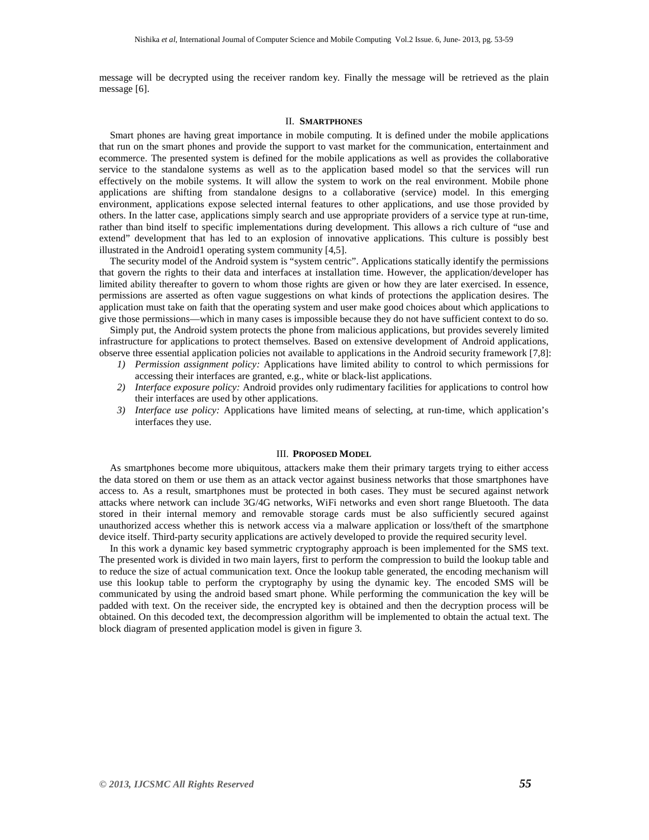message will be decrypted using the receiver random key. Finally the message will be retrieved as the plain message [6].

### II. **SMARTPHONES**

Smart phones are having great importance in mobile computing. It is defined under the mobile applications that run on the smart phones and provide the support to vast market for the communication, entertainment and ecommerce. The presented system is defined for the mobile applications as well as provides the collaborative service to the standalone systems as well as to the application based model so that the services will run effectively on the mobile systems. It will allow the system to work on the real environment. Mobile phone applications are shifting from standalone designs to a collaborative (service) model. In this emerging environment, applications expose selected internal features to other applications, and use those provided by others. In the latter case, applications simply search and use appropriate providers of a service type at run-time, rather than bind itself to specific implementations during development. This allows a rich culture of "use and extend" development that has led to an explosion of innovative applications. This culture is possibly best illustrated in the Android1 operating system community [4,5].

The security model of the Android system is "system centric". Applications statically identify the permissions that govern the rights to their data and interfaces at installation time. However, the application/developer has limited ability thereafter to govern to whom those rights are given or how they are later exercised. In essence, permissions are asserted as often vague suggestions on what kinds of protections the application desires. The application must take on faith that the operating system and user make good choices about which applications to give those permissions—which in many cases is impossible because they do not have sufficient context to do so.

Simply put, the Android system protects the phone from malicious applications, but provides severely limited infrastructure for applications to protect themselves. Based on extensive development of Android applications, observe three essential application policies not available to applications in the Android security framework [7,8]:

- *1) Permission assignment policy:* Applications have limited ability to control to which permissions for accessing their interfaces are granted, e.g., white or black-list applications.
- *2) Interface exposure policy:* Android provides only rudimentary facilities for applications to control how their interfaces are used by other applications.
- *3) Interface use policy:* Applications have limited means of selecting, at run-time, which application's interfaces they use.

#### III. **PROPOSED MODEL**

As smartphones become more ubiquitous, attackers make them their primary targets trying to either access the data stored on them or use them as an attack vector against business networks that those smartphones have access to. As a result, smartphones must be protected in both cases. They must be secured against network attacks where network can include 3G/4G networks, WiFi networks and even short range Bluetooth. The data stored in their internal memory and removable storage cards must be also sufficiently secured against unauthorized access whether this is network access via a malware application or loss/theft of the smartphone device itself. Third-party security applications are actively developed to provide the required security level.

In this work a dynamic key based symmetric cryptography approach is been implemented for the SMS text. The presented work is divided in two main layers, first to perform the compression to build the lookup table and to reduce the size of actual communication text. Once the lookup table generated, the encoding mechanism will use this lookup table to perform the cryptography by using the dynamic key. The encoded SMS will be communicated by using the android based smart phone. While performing the communication the key will be padded with text. On the receiver side, the encrypted key is obtained and then the decryption process will be obtained. On this decoded text, the decompression algorithm will be implemented to obtain the actual text. The block diagram of presented application model is given in figure 3.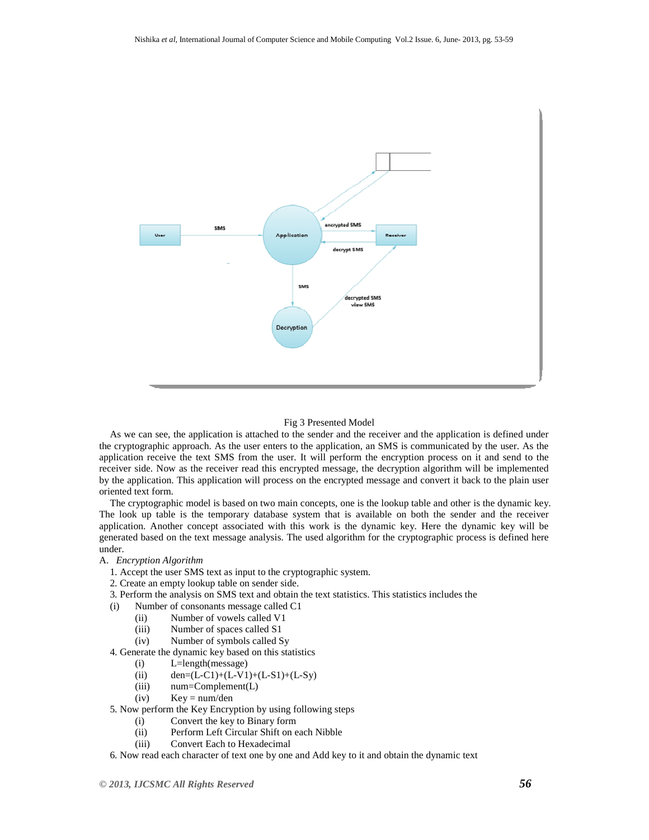

#### Fig 3 Presented Model

As we can see, the application is attached to the sender and the receiver and the application is defined under the cryptographic approach. As the user enters to the application, an SMS is communicated by the user. As the application receive the text SMS from the user. It will perform the encryption process on it and send to the receiver side. Now as the receiver read this encrypted message, the decryption algorithm will be implemented by the application. This application will process on the encrypted message and convert it back to the plain user oriented text form.

The cryptographic model is based on two main concepts, one is the lookup table and other is the dynamic key. The look up table is the temporary database system that is available on both the sender and the receiver application. Another concept associated with this work is the dynamic key. Here the dynamic key will be generated based on the text message analysis. The used algorithm for the cryptographic process is defined here under.

## A. *Encryption Algorithm*

- 1. Accept the user SMS text as input to the cryptographic system.
- 2. Create an empty lookup table on sender side.
- 3. Perform the analysis on SMS text and obtain the text statistics. This statistics includes the
- (i) Number of consonants message called C1
	- (ii) Number of vowels called V1
	- (iii) Number of spaces called S1
	- (iv) Number of symbols called Sy
- 4. Generate the dynamic key based on this statistics
	- (i) L=length(message)
	- (ii)  $den=(L-C1)+(L-V1)+(L-S1)+(L-Sy)$
	- (iii) num=Complement(L)
	- $(iv)$  Key = num/den
- 5. Now perform the Key Encryption by using following steps
	- (i) Convert the key to Binary form
	- (ii) Perform Left Circular Shift on each Nibble
	- (iii) Convert Each to Hexadecimal
- 6. Now read each character of text one by one and Add key to it and obtain the dynamic text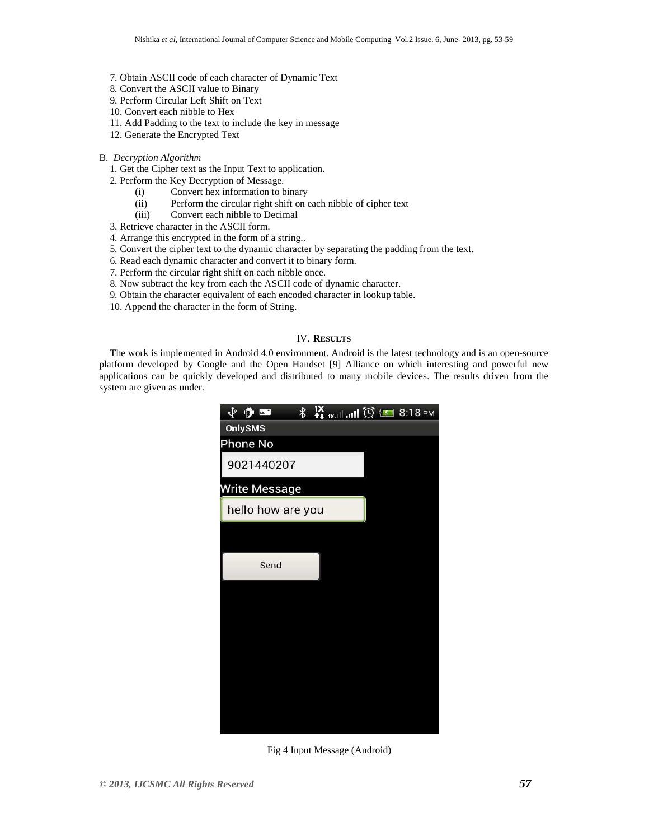- 7. Obtain ASCII code of each character of Dynamic Text
- 8. Convert the ASCII value to Binary
- 9. Perform Circular Left Shift on Text
- 10. Convert each nibble to Hex
- 11. Add Padding to the text to include the key in message
- 12. Generate the Encrypted Text
- B. *Decryption Algorithm* 
	- 1. Get the Cipher text as the Input Text to application.
	- 2. Perform the Key Decryption of Message.
		- (i) Convert hex information to binary
		- (ii) Perform the circular right shift on each nibble of cipher text
		- (iii) Convert each nibble to Decimal
	- 3. Retrieve character in the ASCII form.
	- 4. Arrange this encrypted in the form of a string..
	- 5. Convert the cipher text to the dynamic character by separating the padding from the text.
	- 6. Read each dynamic character and convert it to binary form.
	- 7. Perform the circular right shift on each nibble once.
	- 8. Now subtract the key from each the ASCII code of dynamic character.
	- 9. Obtain the character equivalent of each encoded character in lookup table.
	- 10. Append the character in the form of String.

#### IV. **RESULTS**

The work is implemented in Android 4.0 environment. Android is the latest technology and is an open-source platform developed by Google and the Open Handset [9] Alliance on which interesting and powerful new applications can be quickly developed and distributed to many mobile devices. The results driven from the system are given as under.



Fig 4 Input Message (Android)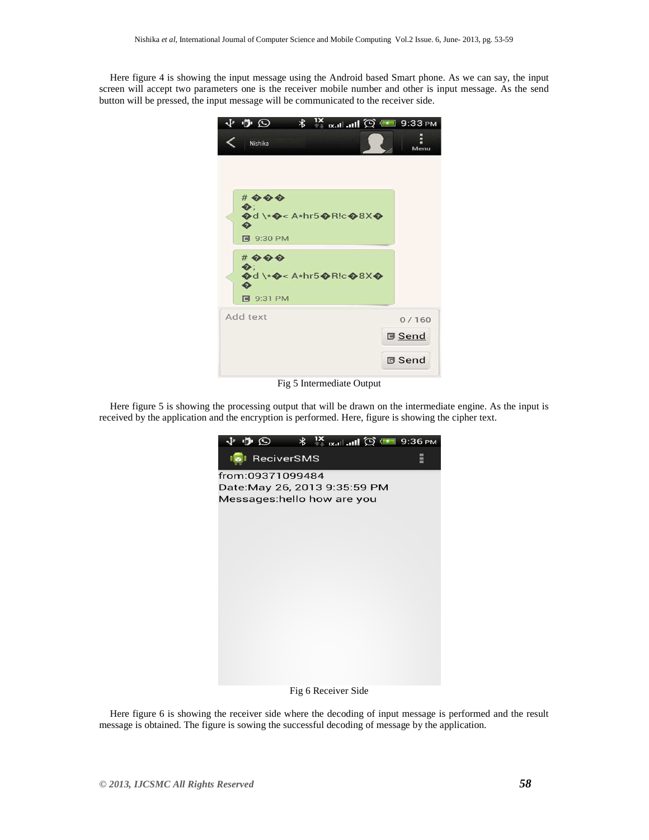Here figure 4 is showing the input message using the Android based Smart phone. As we can say, the input screen will accept two parameters one is the receiver mobile number and other is input message. As the send button will be pressed, the input message will be communicated to the receiver side.



Fig 5 Intermediate Output

Here figure 5 is showing the processing output that will be drawn on the intermediate engine. As the input is received by the application and the encryption is performed. Here, figure is showing the cipher text.



Fig 6 Receiver Side

Here figure 6 is showing the receiver side where the decoding of input message is performed and the result message is obtained. The figure is sowing the successful decoding of message by the application.